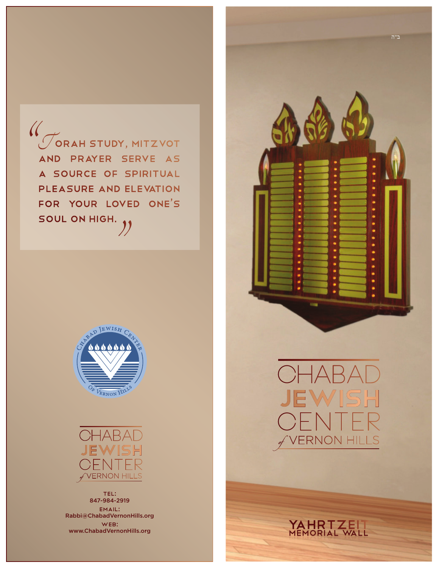.<br>Torah Study, Mitzvot<br>AND PRAYER SERVE AS a source of spiritual pleasure and elevation for your loved one's soul on high. <sup>"</sup>  $\frac{1}{2}$ 





Tel: 847-984-2919 Email: Rabbi@ChabadVernonHills.org Web: www.ChabadVernonHills.org